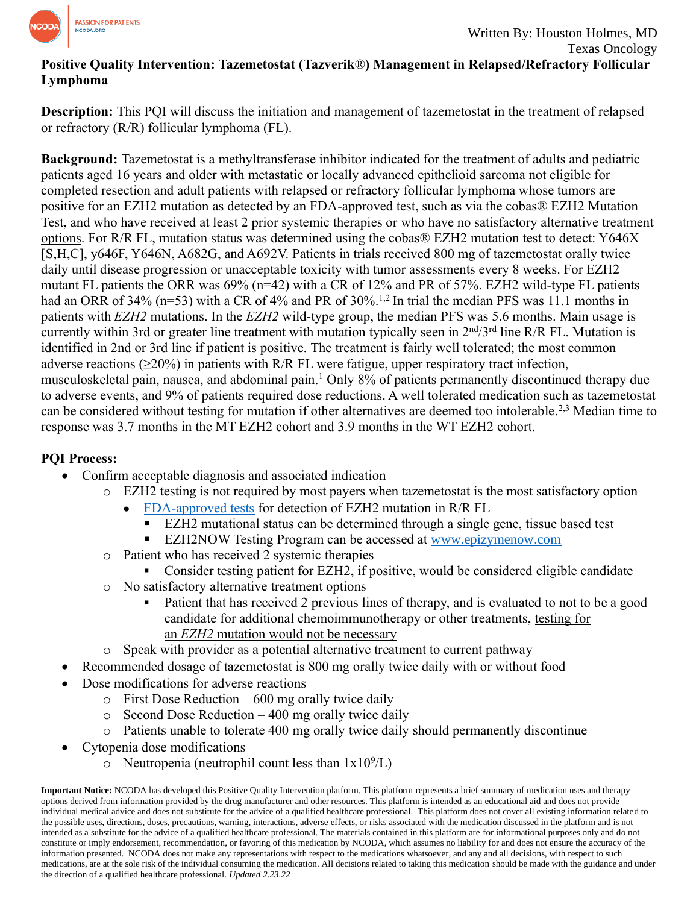

## **Positive Quality Intervention: Tazemetostat (Tazverik**®**) Management in Relapsed/Refractory Follicular Lymphoma**

**Description:** This PQI will discuss the initiation and management of tazemetostat in the treatment of relapsed or refractory (R/R) follicular lymphoma (FL).

**Background:** Tazemetostat is a methyltransferase inhibitor indicated for the treatment of adults and pediatric patients aged 16 years and older with metastatic or locally advanced epithelioid sarcoma not eligible for completed resection and adult patients with relapsed or refractory follicular lymphoma whose tumors are positive for an EZH2 mutation as detected by an FDA-approved test, such as via the cobas® EZH2 Mutation Test, and who have received at least 2 prior systemic therapies or who have no satisfactory alternative treatment options. For R/R FL, mutation status was determined using the cobas® EZH2 mutation test to detect: Y646X [S,H,C], y646F, Y646N, A682G, and A692V. Patients in trials received 800 mg of tazemetostat orally twice daily until disease progression or unacceptable toxicity with tumor assessments every 8 weeks. For EZH2 mutant FL patients the ORR was 69% (n=42) with a CR of 12% and PR of 57%. EZH2 wild-type FL patients had an ORR of 34% (n=53) with a CR of 4% and PR of 30%.<sup>1,2</sup> In trial the median PFS was 11.1 months in patients with *EZH2* mutations. In the *EZH2* wild-type group, the median PFS was 5.6 months. Main usage is currently within 3rd or greater line treatment with mutation typically seen in 2<sup>nd</sup>/3<sup>rd</sup> line R/R FL. Mutation is identified in 2nd or 3rd line if patient is positive. The treatment is fairly well tolerated; the most common adverse reactions ( $\geq$ 20%) in patients with R/R FL were fatigue, upper respiratory tract infection, musculoskeletal pain, nausea, and abdominal pain. <sup>1</sup> Only 8% of patients permanently discontinued therapy due to adverse events, and 9% of patients required dose reductions. A well tolerated medication such as tazemetostat can be considered without testing for mutation if other alternatives are deemed too intolerable.<sup>2,3</sup> Median time to response was 3.7 months in the MT EZH2 cohort and 3.9 months in the WT EZH2 cohort.

## **PQI Process:**

- Confirm acceptable diagnosis and associated indication
	- o EZH2 testing is not required by most payers when tazemetostat is the most satisfactory option
		- [FDA-approved tests](http://fda.gov/CompanionDiagnostics) for detection of EZH2 mutation in R/R FL
			- EZH2 mutational status can be determined through a single gene, tissue based test
			- EZH2NOW Testing Program can be accessed at [www.epizymenow.com](http://www.epizymenow.com/)
	- o Patient who has received 2 systemic therapies
		- Consider testing patient for EZH2, if positive, would be considered eligible candidate
	- o No satisfactory alternative treatment options
		- Patient that has received 2 previous lines of therapy, and is evaluated to not to be a good candidate for additional chemoimmunotherapy or other treatments, testing for an *EZH2* mutation would not be necessary
	- o Speak with provider as a potential alternative treatment to current pathway
- Recommended dosage of tazemetostat is 800 mg orally twice daily with or without food
- Dose modifications for adverse reactions
	- $\circ$  First Dose Reduction 600 mg orally twice daily
	- $\circ$  Second Dose Reduction 400 mg orally twice daily
	- o Patients unable to tolerate 400 mg orally twice daily should permanently discontinue
- Cytopenia dose modifications
	- $\circ$  Neutropenia (neutrophil count less than  $1x10^9$ /L)

**Important Notice:** NCODA has developed this Positive Quality Intervention platform. This platform represents a brief summary of medication uses and therapy options derived from information provided by the drug manufacturer and other resources. This platform is intended as an educational aid and does not provide individual medical advice and does not substitute for the advice of a qualified healthcare professional. This platform does not cover all existing information related to the possible uses, directions, doses, precautions, warning, interactions, adverse effects, or risks associated with the medication discussed in the platform and is not intended as a substitute for the advice of a qualified healthcare professional. The materials contained in this platform are for informational purposes only and do not constitute or imply endorsement, recommendation, or favoring of this medication by NCODA, which assumes no liability for and does not ensure the accuracy of the information presented. NCODA does not make any representations with respect to the medications whatsoever, and any and all decisions, with respect to such medications, are at the sole risk of the individual consuming the medication. All decisions related to taking this medication should be made with the guidance and under the direction of a qualified healthcare professional. *Updated 2.23.22*